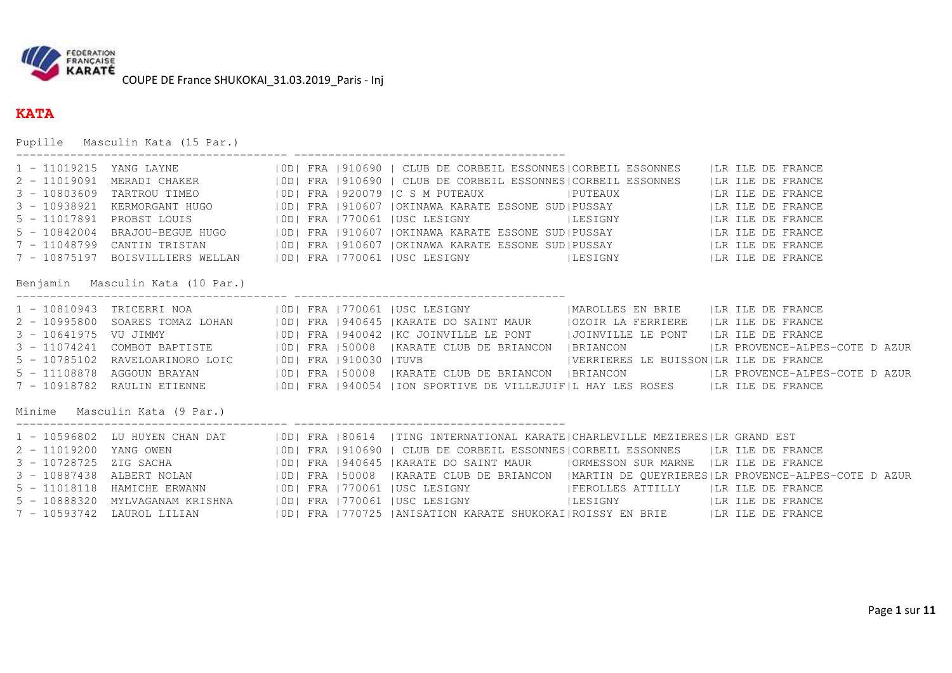

## **KATA**

Pupille Masculin Kata (15 Par.)

| $5 - 11017891$<br>Benjamin Masculin Kata (10 Par.)<br>VU JIMMY<br>Minime Masculin Kata (9 Par.)<br>LAUROL LILIAN |  |  | 1 - 11019215 YANG LAYNE (10D) FRA 1910690   CLUB DE CORBEIL ESSONNES CORBEIL ESSONNES   LR ILE DE FRANCE<br>2 - 11019091 MERADI CHAKER (10D) FRA 1910690   CLUB DE CORBEIL ESSONNES CORBEIL ESSONNES (IR ILE DE FRANCE<br>TARTROU TIMEO (IODI FRA 1920079 IC S M PUTEAUX IPUTEAUX ILR ILE DE FRANCE<br>KERMORGANT HUGO   OD  FRA   910607   OKINAWA KARATE ESSONE SUD  PUSSAY     LIR ILE DE FRANCE<br>PROBST LOUIS   100   FRA   170061   USC LESIGNY   LESIGNY   LESIGNY   LA ILE DE FRANCE<br>BRAJOU-BEGUE HUGO   100   FRA   910607   OKINAWA KARATE ESSONE SUD   PUSSAY   LA ILE DE FRANCE<br>CANTIN TRISTAN 6   OD  FRA   910607   OKINAWA KARATE ESSONE SUD  PUSSAY   THE LE DE FRANCE<br>7 - 10875197 BOISVILLIERS WELLAN   OD  FRA   770061   USC LESIGNY   LESIGNY   LESIGNY   LR ILE DE FRANCE<br>1 - 10810943 TRICERRI NOA (OD) FRA 770061 JUSC LESIGNY (MAROLLES EN BRIE   LR ILE DE FRANCE<br>SOARES TOMAZ LOHAN   OD  FRA   940645   KARATE DO SAINT MAUR     OZOIR LA FERRIERE   LR ILE DE FRANCE<br>ODI FRA 1940042 KC JOINVILLE LE PONT   JOINVILLE LE PONT   LR ILE DE FRANCE<br>3 - 11074241 COMBOT BAPTISTE     OD  FRA   50008   KARATE CLUB DE BRIANCON   BRIANCON     LR PROVENCE-ALPES-COTE DAZUR<br>5 - 10785102 RAVELOARINORO LOIC     OD  FRA   910030   TUVB   VERRIERES LE BUISSON LR ILE DE FRANCE<br>AGGOUN BRAYAN   10D  FRA 150008   KARATE CLUB DE BRIANCON   BRIANCON   LR PROVENCE-ALPES-COTE DAZUR<br>7 - 10918782 RAULIN ETIENNE   OD  FRA   940054   ION SPORTIVE DE VILLEJUIF L HAY LES ROSES   LR ILE DE FRANCE<br>1 - 10596802 LU HUYEN CHAN DAT   0D  FRA   80614   TING INTERNATIONAL KARATE   CHARLEVILLE MEZIERES   LR GRAND EST<br>YANG OWEN                        OD  FRA  910690   CLUB DE CORBEIL ESSONNES CORBEIL ESSONNES     LR ILE DE FRANCE<br>ZIG SACHA                    OD  FRA  940645  KARATE DO SAINT MAUR     ORMESSON SUR MARNE   LR ILE DE FRANCE<br>ALBERT NOLAN 6 10D   FRA 150008   KARATE CLUB DE BRIANCON   MARTIN DE QUEYRIERES   LR PROVENCE-ALPES-COTE DAZUR<br>HAMICHE ERWANN [OD] FRA   770061   USC LESIGNY   FEROLLES ATTILLY   LR ILE DE FRANCE<br>MYLVAGANAM KRISHNA   OD  FRA   770061   USC LESIGNY   LESIGNY   LESIGNY   LA ILE DE FRANCE<br>  OD   FRA   770725   ANISATION KARATE SHUKOKAI   ROISSY EN BRIE   LA ILE DE FRANCE |
|------------------------------------------------------------------------------------------------------------------|--|--|----------------------------------------------------------------------------------------------------------------------------------------------------------------------------------------------------------------------------------------------------------------------------------------------------------------------------------------------------------------------------------------------------------------------------------------------------------------------------------------------------------------------------------------------------------------------------------------------------------------------------------------------------------------------------------------------------------------------------------------------------------------------------------------------------------------------------------------------------------------------------------------------------------------------------------------------------------------------------------------------------------------------------------------------------------------------------------------------------------------------------------------------------------------------------------------------------------------------------------------------------------------------------------------------------------------------------------------------------------------------------------------------------------------------------------------------------------------------------------------------------------------------------------------------------------------------------------------------------------------------------------------------------------------------------------------------------------------------------------------------------------------------------------------------------------------------------------------------------------------------------------------------------------------------------------------------------------------------------------------------------------------------------------------------------------------------------------------------------------------------------------------------------------------------------------------------------------------------------------------------------------------------------------------------------------------------|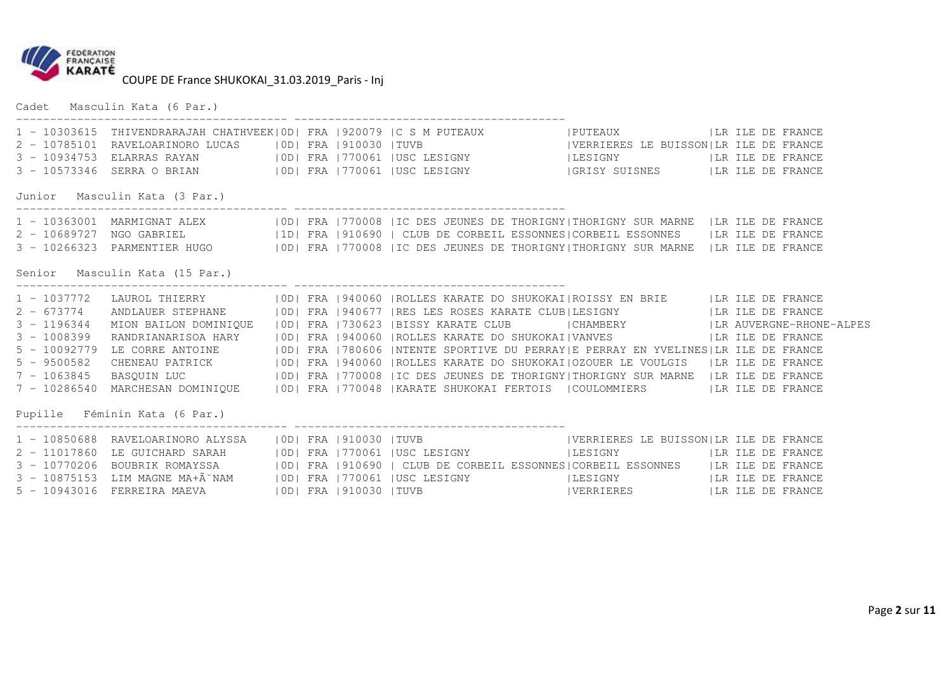

Cadet Masculin Kata (6 Par.)

|                                                                                    |                                |  | 1 - 10303615 THIVENDRARAJAH CHATHVEEK  OD  FRA   920079   C S M PUTEAUX   PUTEAUX   LA ILE DE FRANCE<br>2 - 10785101 RAVELOARINORO LUCAS   OD  FRA   910030   TUVB   VERRIERES LE BUISSON LR ILE DE FRANCE<br>3 - 10934753 ELARRAS RAYAN   OD  FRA   770061   USC LESIGNY   LESIGNY   LESIGNY   LA ILE DE FRANCE<br>3 - 10573346 SERRA O BRIAN   0D  FRA   770061   USC LESIGNY   GRISY SUISNES   LR ILE DE FRANCE                                                                                                                                                                                                                                                                                                                                                                                                                                                            |  |  |
|------------------------------------------------------------------------------------|--------------------------------|--|-------------------------------------------------------------------------------------------------------------------------------------------------------------------------------------------------------------------------------------------------------------------------------------------------------------------------------------------------------------------------------------------------------------------------------------------------------------------------------------------------------------------------------------------------------------------------------------------------------------------------------------------------------------------------------------------------------------------------------------------------------------------------------------------------------------------------------------------------------------------------------|--|--|
|                                                                                    | Junior Masculin Kata (3 Par.)  |  |                                                                                                                                                                                                                                                                                                                                                                                                                                                                                                                                                                                                                                                                                                                                                                                                                                                                               |  |  |
|                                                                                    | Senior Masculin Kata (15 Par.) |  | 1 - 10363001 MARMIGNAT ALEX   0D  FRA   770008   IC DES JEUNES DE THORIGNY  THORIGNY SUR MARNE   LR ILE DE FRANCE<br>2 - 10689727 NGO GABRIEL (1D) FRA   910690   CLUB DE CORBEIL ESSONNES   CORBEIL ESSONNES (IR ILE DE FRANCE<br>3 - 10266323 PARMENTIER HUGO   OD  FRA   770008   IC DES JEUNES DE THORIGNY  THORIGNY SUR MARNE   LR ILE DE FRANCE                                                                                                                                                                                                                                                                                                                                                                                                                                                                                                                         |  |  |
| $3 - 1196344$<br>$3 - 1008399$<br>$5 - 10092779$<br>$5 - 9500582$<br>$7 - 1063845$ | Pupille Féminin Kata (6 Par.)  |  | 1 - 1037772 LAUROL THIERRY   0D   FRA   940060   ROLLES KARATE DO SHUKOKAI   ROISSY EN BRIE   LR ILE DE FRANCE<br>2 - 673774 ANDLAUER STEPHANE   OD  FRA   940677   RES LES ROSES KARATE CLUB  LESIGNY     LR ILE DE FRANCE<br>MION BAILON DOMINIQUE (OD) FRA 1730623  BISSY KARATE CLUB   CHAMBERY     LR AUVERGNE-RHONE-ALPES<br>RANDRIANARISOA HARY   OD  FRA   940060   ROLLES KARATE DO SHUKOKAI  VANVES     LA ILE DE FRANCE<br>LE CORRE ANTOINE (ID) FRA 1780606   NTENTE SPORTIVE DU PERRAY   E PERRAY EN YVELINES   LR ILE DE FRANCE<br>CHENEAU PATRICK   0D  FRA   940060   ROLLES KARATE DO SHUKOKAI   OZOUER LE VOULGIS   LR ILE DE FRANCE<br>BASQUIN LUC   OD  FRA   770008   IC DES JEUNES DE THORIGNY  THORIGNY SUR MARNE   LR ILE DE FRANCE<br>7 - 10286540 MARCHESAN DOMINIQUE   OD  FRA   770048   KARATE SHUKOKAI FERTOIS   COULOMMIERS   LR ILE DE FRANCE |  |  |
|                                                                                    |                                |  | 1 - 10850688 RAVELOARINORO ALYSSA   OD  FRA   910030   TUVB   VERRIERES LE BUISSON LR ILE DE FRANCE<br>2 - 11017860 LE GUICHARD SARAH     0D   FRA   770061   USC LESIGNY   LESIGNY   LESIGNY   LA ILE DE FRANCE<br>3 - 10770206 BOUBRIK ROMAYSSA   0D  FRA   910690   CLUB DE CORBEIL ESSONNES   CORBEIL ESSONNES   LR ILE DE FRANCE<br>3 - 10875153 LIM MAGNE MA+Ã NAM   OD  FRA   770061   USC LESIGNY   LESIGNY   LESIGNY   LR ILE DE FRANCE<br>5 - 10943016 FERREIRA MAEVA   OD  FRA   910030   TUVB   VERRIERES     LA ILE DE FRANCE                                                                                                                                                                                                                                                                                                                                    |  |  |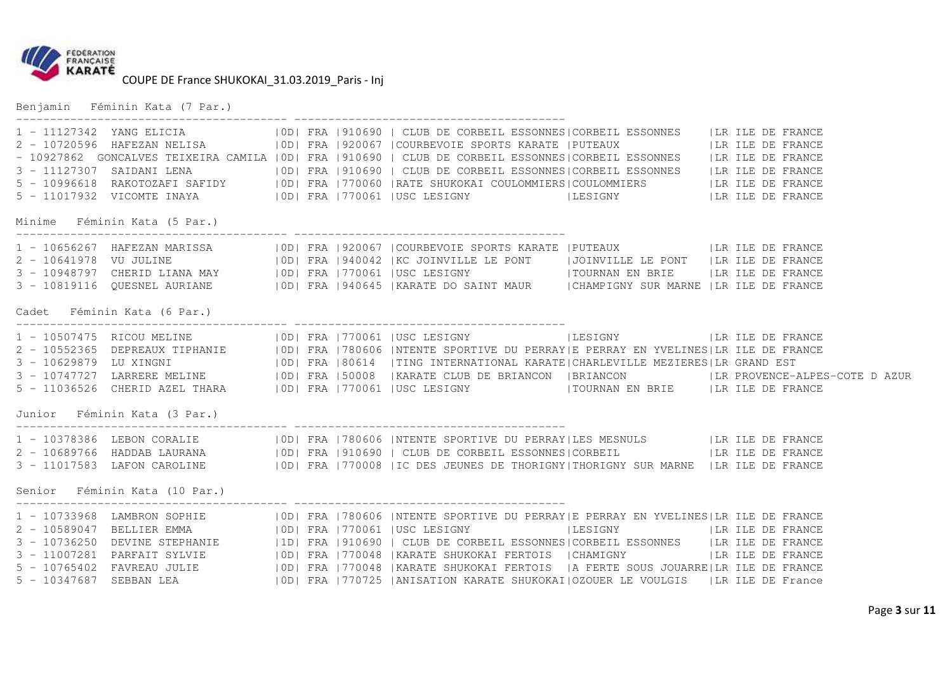

Benjamin Féminin Kata (7 Par.)

| 1 - 11127342 YANG ELICIA (OD) FRA 1910690   CLUB DE CORBEIL ESSONNES CORBEIL ESSONNES   LIR ILE DE FRANCE<br>2 - 10720596 HAFEZAN NELISA (OD) FRA 1920067   COURBEVOIE SPORTS KARATE   PUTEAUX (ILR ILE DE FRANCE - 10927862<br>3 - 11127307 SAIDANI LENA (OD) FRA 1910690   CLUB DE CORBEIL ESSONNES   CORBEIL ESSONNES (IR ILE DE FRANCE<br>5 - 10996618 RAKOTOZAFI SAFIDY   OD  FRA   770060   RATE SHUKOKAI COULOMMIERS   COULOMMIERS     LR ILE DE FRANCE<br>5 - 11017932 VICOMTE INAYA (IDI FRA   770061   USC LESIGNY   LESIGNY   LESIGNY   LA ILE DE FRANCE<br>Minime Féminin Kata (5 Par.) |  |  |  |
|-----------------------------------------------------------------------------------------------------------------------------------------------------------------------------------------------------------------------------------------------------------------------------------------------------------------------------------------------------------------------------------------------------------------------------------------------------------------------------------------------------------------------------------------------------------------------------------------------------|--|--|--|
| 1 - 10656267 HAFEZAN MARISSA   OD  FRA   920067   COURBEVOIE SPORTS KARATE   PUTEAUX   LA ILE DE FRANCE<br>2 - 10641978 VU JULINE   0D  FRA   940042   KC JOINVILLE LE PONT   JOINVILLE LE PONT   LR ILE DE FRANCE<br>3 - 10948797 CHERID LIANA MAY   0D  FRA   770061   USC LESIGNY   TOURNAN EN BRIE   LR ILE DE FRANCE<br>3 - 10819116 QUESNEL AURIANE   OD  FRA   940645   KARATE DO SAINT MAUR   CHAMPIGNY SUR MARNE   LR ILE DE FRANCE<br>Cadet Féminin Kata (6 Par.)                                                                                                                         |  |  |  |
| 1 - 10507475 RICOU MELINE   0D   FRA   770061   USC LESIGNY   LESIGNY   LESIGNY   LA ILE DE FRANCE<br>2 - 10552365 DEPREAUX TIPHANIE   0D  FRA   780606   NTENTE SPORTIVE DU PERRAY   E PERRAY EN YVELINES   LR ILE DE FRANCE<br>3 - 10629879 LU XINGNI (OD  FRA   80614   TING INTERNATIONAL KARATE   CHARLEVILLE MEZIERES   LR GRAND EST<br>3 - 10747727 LARRERE MELINE   0D  FRA   50008   KARATE CLUB DE BRIANCON   BRIANCON   LR PROVENCE-ALPES-COTE DAZUR<br>Junior Féminin Kata (3 Par.)                                                                                                     |  |  |  |
| Senior Féminin Kata (10 Par.)                                                                                                                                                                                                                                                                                                                                                                                                                                                                                                                                                                       |  |  |  |
| 3 - 11007281 PARFAIT SYLVIE   0D  FRA   770048   KARATE SHUKOKAI FERTOIS   CHAMIGNY     LR ILE DE FRANCE<br>5 - 10347687 SEBBAN LEA (IDI FRA 1770725   ANISATION KARATE SHUKOKAI   OZOUER LE VOULGIS   LR ILE DE France                                                                                                                                                                                                                                                                                                                                                                             |  |  |  |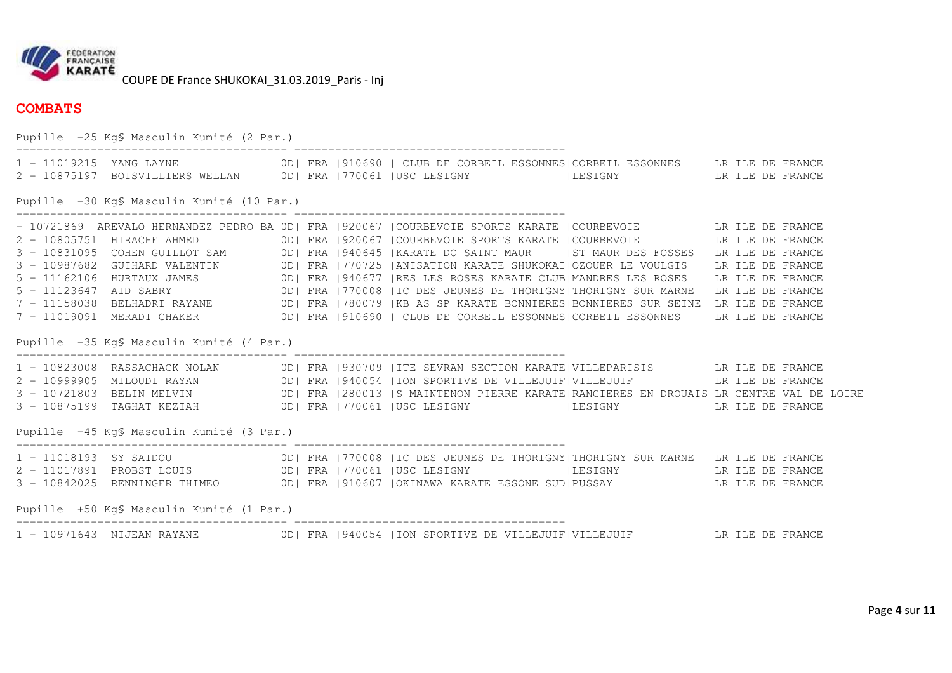

## **COMBATS**

Pupille -25 Kg§ Masculin Kumité (2 Par.) ---------------------------------------- ---------------------------------------- 1 - 11019215 YANG LAYNE |0D| FRA |910690 | CLUB DE CORBEIL ESSONNES|CORBEIL ESSONNES |LR ILE DE FRANCE 2 - 10875197 BOISVILLIERS WELLAN |0D| FRA |770061 |USC LESIGNY |LESIGNY |LR ILE DE FRANCE Pupille -30 Kg§ Masculin Kumité (10 Par.) ---------------------------------------- ---------------------------------------- - 10721869 AREVALO HERNANDEZ PEDRO BA|OD| FRA |920067 |COURBEVOIE SPORTS KARATE |COURBEVOIE | |LR ILE DE FRANCE<br>2 - 10805751 HIRACHE AHMED | |OD| FRA |920067 |COURBEVOIE SPORTS KARATE |COURBEVOIE | |LR ILE DE FRANCE 3 - 10831095 COHEN GUILLOT SAM (DD|FRA |940645 |KARATE DO SAINT MAUR (IST MAUR DES FOSSES |LR ILE DE FRANCE)<br>3 - 10987682 GUIHARD VALENTIN (DD|FRA |770725 |ANISATION KARATE SHUKOKAI|OZOUER LE VOULGIS |LR ILE DE FRANCE<br>5 - 7 - 11019091 MERADI CHAKER |0D| FRA |910690 | CLUB DE CORBEIL ESSONNES|CORBEIL ESSONNES |LR ILE DE FRANCE Pupille -35 Kg§ Masculin Kumité (4 Par.) ---------------------------------------- ---------------------------------------- 1 - 10823008 RASSACHACK NOLAN |OD| FRA |930709 |ITE SEVRAN SECTION KARATE|VILLEPARISIS |LR ILE DE FRANCE 2 - 10999905 MILOUDI RAYAN |OD| FRA |940054 |ION SPORTIVE DE VILLEJUIF|VILLEJUIF |LR ILE DE FRANCE<br>3 - 10721803 BELIN MELVIN |OD| FRA |280013 |S MAINTENON PIERRE KARATE|RANCIERES EN DROUAIS|LR CEN Pupille -45 Kg§ Masculin Kumité (3 Par.) ---------------------------------------- ---------------------------------------- 1 - 11018193 SY SAIDOU |0D| FRA |770008 |IC DES JEUNES DE THORIGNY|THORIGNY SUR MARNE |LR ILE DE FRANCE 2 - 11017891 PROBST LOUIS |OD| FRA |770061 |USC LESIGNY |LESIGNY |LR ILE DE FRANCE<br>3 - 10842025 RENNINGER THIMEO |OD| FRA |910607 |OKINAWA KARATE ESSONE SUD|PUSSAY Pupille +50 Kg§ Masculin Kumité (1 Par.) ---------------------------------------- ---------------------------------------- 1 - 10971643 NIJEAN RAYANE |0D| FRA |940054 |ION SPORTIVE DE VILLEJUIF|VILLEJUIF |LR ILE DE FRANCE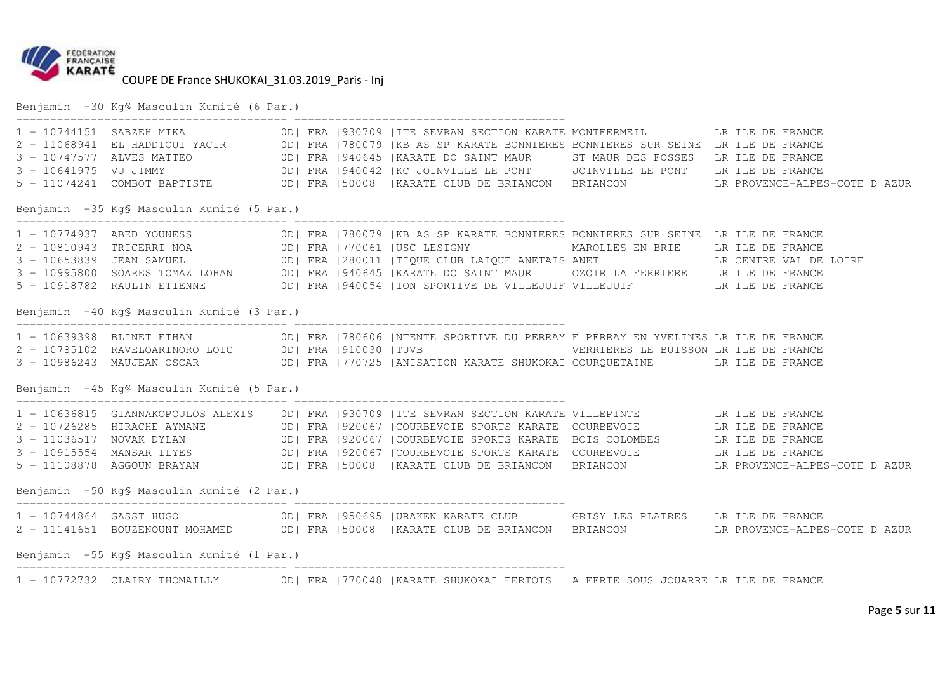

Benjamin -30 Kg§ Masculin Kumité (6 Par.)

|                                            | Benjamin -35 KqS Masculin Kumité (5 Par.)  |  |  |  |                                                                                                                                                                                                                                      |  |  | 900   FRANCE   10744151 SABZEH MIKA   100   FRANCE   1000   FRANCE   11068941 EL HADDIOUI YACIR   100   FRANCE   11068941 EL HADDIOUI YACIR   100   FRANCE ALRE AS SP KARATE BONNIERES   BONNIERES SUR SEINE   LR ILE DE FRANC |  |
|--------------------------------------------|--------------------------------------------|--|--|--|--------------------------------------------------------------------------------------------------------------------------------------------------------------------------------------------------------------------------------------|--|--|--------------------------------------------------------------------------------------------------------------------------------------------------------------------------------------------------------------------------------|--|
|                                            |                                            |  |  |  |                                                                                                                                                                                                                                      |  |  |                                                                                                                                                                                                                                |  |
|                                            |                                            |  |  |  | 1 - 10774937 ABED YOUNESS (10D) FRA 1780079 KB AS SP KARATE BONNIERES  BONNIERES SUR SEINE  LR ILE DE FRANCE<br>2 - 10810943 TRICERRI NOA (10D) FRA 1770061  USC LESIGNY (MAROLLES EN BRIE  LR ILE DE FRANCE<br>3 - 10653839 JEAN SA |  |  |                                                                                                                                                                                                                                |  |
|                                            |                                            |  |  |  |                                                                                                                                                                                                                                      |  |  |                                                                                                                                                                                                                                |  |
|                                            |                                            |  |  |  |                                                                                                                                                                                                                                      |  |  |                                                                                                                                                                                                                                |  |
|                                            |                                            |  |  |  | 5 - 10918782 RAULIN ETIENNE   OD  FRA   940054   ION SPORTIVE DE VILLEJUIF   VILLEJUIF     LR ILE DE FRANCE                                                                                                                          |  |  |                                                                                                                                                                                                                                |  |
|                                            | Benjamin -40 Kg\$ Masculin Kumité (3 Par.) |  |  |  |                                                                                                                                                                                                                                      |  |  |                                                                                                                                                                                                                                |  |
|                                            |                                            |  |  |  | 1 - 10639398 BLINET ETHAN   10D  FRA   780606   NTENTE SPORTIVE DU PERRAY E PERRAY EN YVELINES LR ILE DE FRANCE<br>2 - 10785102 RAVELOARINORO LOIC   10D  FRA   910030   TUVB   YERRIERES LE BUISSON LR ILE DE FRANCE                |  |  |                                                                                                                                                                                                                                |  |
|                                            |                                            |  |  |  |                                                                                                                                                                                                                                      |  |  |                                                                                                                                                                                                                                |  |
|                                            |                                            |  |  |  |                                                                                                                                                                                                                                      |  |  |                                                                                                                                                                                                                                |  |
| Benjamin -45 Kg\$ Masculin Kumité (5 Par.) |                                            |  |  |  |                                                                                                                                                                                                                                      |  |  |                                                                                                                                                                                                                                |  |
|                                            |                                            |  |  |  | 1 - 10636815 GIANNAKOPOULOS ALEXIS   OD  FRA   930709   ITE SEVRAN SECTION KARATE   VILLEPINTE   LA ILE DE FRANCE                                                                                                                    |  |  |                                                                                                                                                                                                                                |  |
|                                            |                                            |  |  |  | 2 - 10726285 HIRACHE AYMANE   0D  FRA   920067   COURBEVOIE SPORTS KARATE   COURBEVOIE     LR ILE DE FRANCE                                                                                                                          |  |  |                                                                                                                                                                                                                                |  |
|                                            |                                            |  |  |  | 3 - 11036517 NOVAK DYLAN   0D  FRA   920067   COURBEVOIE SPORTS KARATE   BOIS COLOMBES   LR ILE DE FRANCE                                                                                                                            |  |  |                                                                                                                                                                                                                                |  |
|                                            |                                            |  |  |  | 3 - 10915554 MANSAR ILYES   0D  FRA   920067   COURBEVOIE SPORTS KARATE   COURBEVOIE   LR ILE DE FRANCE                                                                                                                              |  |  |                                                                                                                                                                                                                                |  |
|                                            |                                            |  |  |  |                                                                                                                                                                                                                                      |  |  |                                                                                                                                                                                                                                |  |
| Benjamin -50 Kq\$ Masculin Kumité (2 Par.) |                                            |  |  |  |                                                                                                                                                                                                                                      |  |  |                                                                                                                                                                                                                                |  |
|                                            |                                            |  |  |  | 1 - 10744864 GASST HUGO (IOD) FRA   950695   URAKEN KARATE CLUB   GRISY LES PLATRES   LR ILE DE FRANCE                                                                                                                               |  |  |                                                                                                                                                                                                                                |  |
|                                            |                                            |  |  |  |                                                                                                                                                                                                                                      |  |  | 2 - 11141651 BOUZENOUNT MOHAMED   OD  FRA   50008   KARATE CLUB DE BRIANCON   BRIANCON   LR PROVENCE-ALPES-COTE DAZUR                                                                                                          |  |
| Benjamin -55 Kg\$ Masculin Kumité (1 Par.) |                                            |  |  |  |                                                                                                                                                                                                                                      |  |  |                                                                                                                                                                                                                                |  |
|                                            |                                            |  |  |  | 1 - 10772732 CLAIRY THOMAILLY   0D  FRA   770048   KARATE SHUKOKAI FERTOIS   A FERTE SOUS JOUARRE   LR ILE DE FRANCE                                                                                                                 |  |  |                                                                                                                                                                                                                                |  |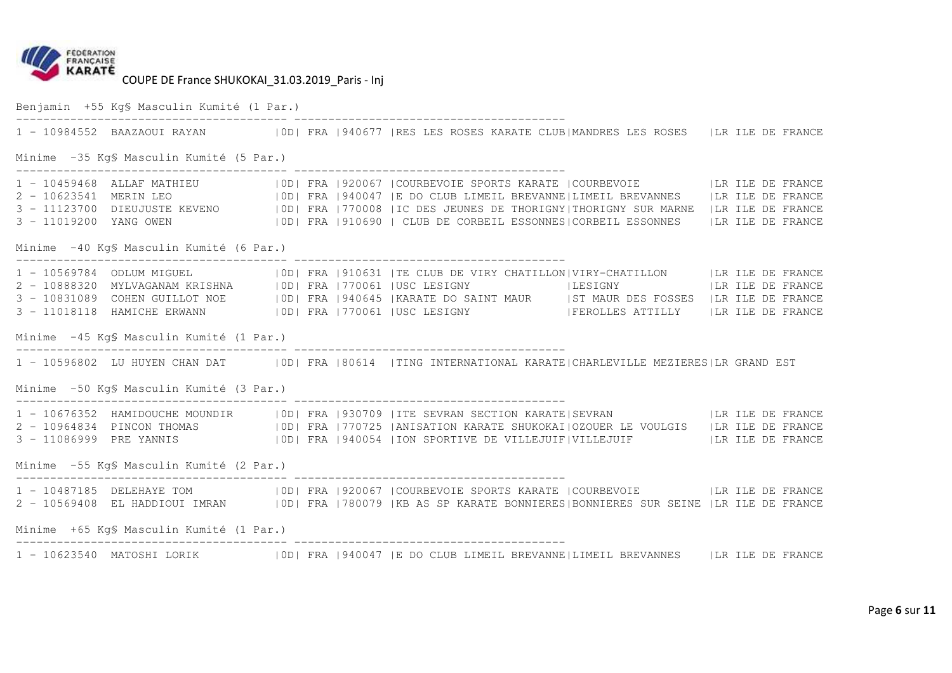

Benjamin +55 Kg§ Masculin Kumité (1 Par.) ---------------------------------------- ---------------------------------------- 1 - 10984552 BAAZAOUI RAYAN |0D| FRA |940677 |RES LES ROSES KARATE CLUB|MANDRES LES ROSES |LR ILE DE FRANCE Minime -35 Kg§ Masculin Kumité (5 Par.) ---------------------------------------- ---------------------------------------- 1 - 10459468 ALLAF MATHIEU |0D| FRA |920067 |COURBEVOIE SPORTS KARATE |COURBEVOIE |LR ILE DE FRANCE 2 - 10623541 MERIN LEO |0D| FRA |940047 |E DO CLUB LIMEIL BREVANNE|LIMEIL BREVANNES |LR ILE DE FRANCE 3 - 11123700 DIEUJUSTE KEVENO |OD| FRA |770008 |IC DES JEUNES DE THORIGNY|THORIGNY SUR MARNE |LR ILE DE FRANCE<br>3 - 11019200 YANG OWEN |OD| FRA |910690 | CLUB DE CORBEIL ESSONNES|CORBEIL ESSONNES | Minime -40 Kg§ Masculin Kumité (6 Par.) ---------------------------------------- ---------------------------------------- 1 - 10569784 ODLUM MIGUEL (100| FRA |910631 |TE CLUB DE VIRY CHATILLON|VIRY-CHATILLON (1 LR ILE DE FRANCE)<br>2 - 10888320 MYLVAGANAM KRISHNA (10D| FRA |770061 |USC LESIGNY (11) |LESIGNY (12) |LR ILE DE FRANCE<br>3 - 10831089 CO Minime -45 Kg§ Masculin Kumité (1 Par.) ---------------------------------------- ---------------------------------------- 1 - 10596802 LU HUYEN CHAN DAT |0D| FRA |80614 |TING INTERNATIONAL KARATE|CHARLEVILLE MEZIERES|LR GRAND EST Minime -50 Kg§ Masculin Kumité (3 Par.) ---------------------------------------- ---------------------------------------- 1 - 10676352 HAMIDOUCHE MOUNDIR |OD| FRA |930709 |ITE SEVRAN SECTION KARATE|SEVRAN |LR ILE DE FRANCE 2 - 10964834 PINCON THOMAS |0D| FRA |770725 |ANISATION KARATE SHUKOKAI|OZOUER LE VOULGIS |LR ILE DE FRANCE<br>3 - 11086999 PRE YANNIS |0D| FRA |940054 |ION SPORTIVE DE VILLEJUIF|VILLEJUIF Minime -55 Kg§ Masculin Kumité (2 Par.) ---------------------------------------- ---------------------------------------- 1 - 10487185 DELEHAYE TOM |OD| FRA |920067 |COURBEVOIE SPORTS KARATE |COURBEVOIE |LR ILE DE FRANCE<br>2 - 10569408 EL HADDIOUI IMRAN |OD| FRA |780079 |KB AS SP KARATE BONNIERES|BONNIERES SUR SEINE | Minime +65 Kg§ Masculin Kumité (1 Par.) ---------------------------------------- ---------------------------------------- 1 - 10623540 MATOSHI LORIK |0D| FRA |940047 |E DO CLUB LIMEIL BREVANNE|LIMEIL BREVANNES |LR ILE DE FRANCE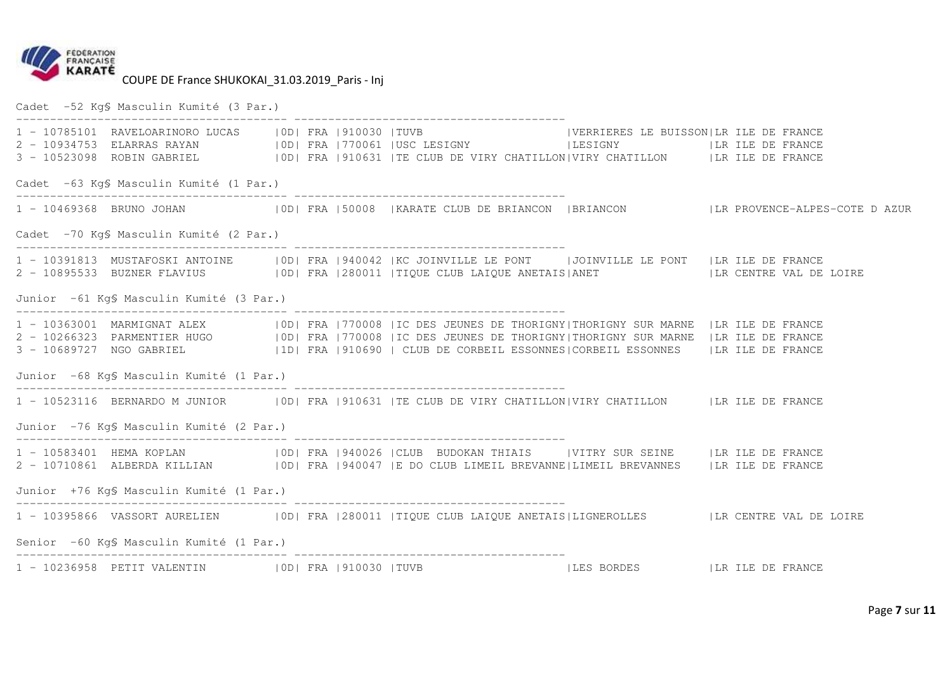

Cadet -52 Kg§ Masculin Kumité (3 Par.)

|                                          |                                         |  |  |  | 1 - 10785101 RAVELOARINORO LUCAS   OD  FRA   910030   TUVB   VERRIERES LE BUISSON LR ILE DE FRANCE<br>3 - 10523098 ROBIN GABRIEL (IDI FRA   910631   TE CLUB DE VIRY CHATILLON  VIRY CHATILLON   LR ILE DE FRANCE                                                                                                                                      |  |                                                                                                              |  |  |
|------------------------------------------|-----------------------------------------|--|--|--|--------------------------------------------------------------------------------------------------------------------------------------------------------------------------------------------------------------------------------------------------------------------------------------------------------------------------------------------------------|--|--------------------------------------------------------------------------------------------------------------|--|--|
| Cadet -63 KgS Masculin Kumité (1 Par.)   |                                         |  |  |  |                                                                                                                                                                                                                                                                                                                                                        |  |                                                                                                              |  |  |
|                                          |                                         |  |  |  |                                                                                                                                                                                                                                                                                                                                                        |  | 1 - 10469368 BRUNO JOHAN (IDI FRA 150008   KARATE CLUB DE BRIANCON   BRIANCON   LR PROVENCE-ALPES-COTE DAZUR |  |  |
|                                          | Cadet -70 Kg\$ Masculin Kumité (2 Par.) |  |  |  |                                                                                                                                                                                                                                                                                                                                                        |  |                                                                                                              |  |  |
|                                          |                                         |  |  |  | 1 - 10391813 MUSTAFOSKI ANTOINE   OD  FRA   940042   KC JOINVILLE LE PONT     JOINVILLE LE PONT   LR ILE DE FRANCE<br>2 - 10895533 BUZNER FLAVIUS   OD  FRA   280011   TIQUE CLUB LAIQUE ANETAIS ANET   LR CENTRE VAL DE LOIRE                                                                                                                         |  |                                                                                                              |  |  |
| Junior -61 Kg\$ Masculin Kumité (3 Par.) |                                         |  |  |  |                                                                                                                                                                                                                                                                                                                                                        |  |                                                                                                              |  |  |
|                                          |                                         |  |  |  | 1 - 10363001 MARMIGNAT ALEX   0D  FRA   770008   IC DES JEUNES DE THORIGNY  THORIGNY SUR MARNE   LR ILE DE FRANCE<br>2 - 10266323 PARMENTIER HUGO   OD  FRA   770008   IC DES JEUNES DE THORIGNY  THORIGNY SUR MARNE   LR ILE DE FRANCE<br>3 - 10689727 NGO GABRIEL (1D) FRA   910690   CLUB DE CORBEIL ESSONNES   CORBEIL ESSONNES   LA ILE DE FRANCE |  |                                                                                                              |  |  |
| Junior -68 Kg\$ Masculin Kumité (1 Par.) |                                         |  |  |  |                                                                                                                                                                                                                                                                                                                                                        |  |                                                                                                              |  |  |
|                                          |                                         |  |  |  | 1 - 10523116 BERNARDO M JUNIOR   0D   FRA   910631   TE CLUB DE VIRY CHATILLON   VIRY CHATILLON     LR ILE DE FRANCE                                                                                                                                                                                                                                   |  |                                                                                                              |  |  |
| Junior -76 KgS Masculin Kumité (2 Par.)  |                                         |  |  |  |                                                                                                                                                                                                                                                                                                                                                        |  |                                                                                                              |  |  |
|                                          |                                         |  |  |  | 1 - 10583401 HEMA KOPLAN (OD  FRA   940026   CLUB BUDOKAN THIAIS   VITRY SUR SEINE   LR ILE DE FRANCE<br>2 - 10710861 ALBERDA KILLIAN   0D  FRA   940047   E DO CLUB LIMEIL BREVANNE  LIMEIL BREVANNES   LR ILE DE FRANCE                                                                                                                              |  |                                                                                                              |  |  |
| Junior +76 KgS Masculin Kumité (1 Par.)  |                                         |  |  |  |                                                                                                                                                                                                                                                                                                                                                        |  |                                                                                                              |  |  |
|                                          |                                         |  |  |  | 1 - 10395866 VASSORT AURELIEN   OD  FRA   280011   TIQUE CLUB LAIQUE ANETAIS  LIGNEROLLES   LR CENTRE VAL DE LOIRE                                                                                                                                                                                                                                     |  |                                                                                                              |  |  |
| Senior -60 Kg\$ Masculin Kumité (1 Par.) |                                         |  |  |  |                                                                                                                                                                                                                                                                                                                                                        |  |                                                                                                              |  |  |
|                                          |                                         |  |  |  | 1 - 10236958 PETIT VALENTIN (OD) FRA   910030   TUVB   LES BORDES   LA ILE DE FRANCE                                                                                                                                                                                                                                                                   |  |                                                                                                              |  |  |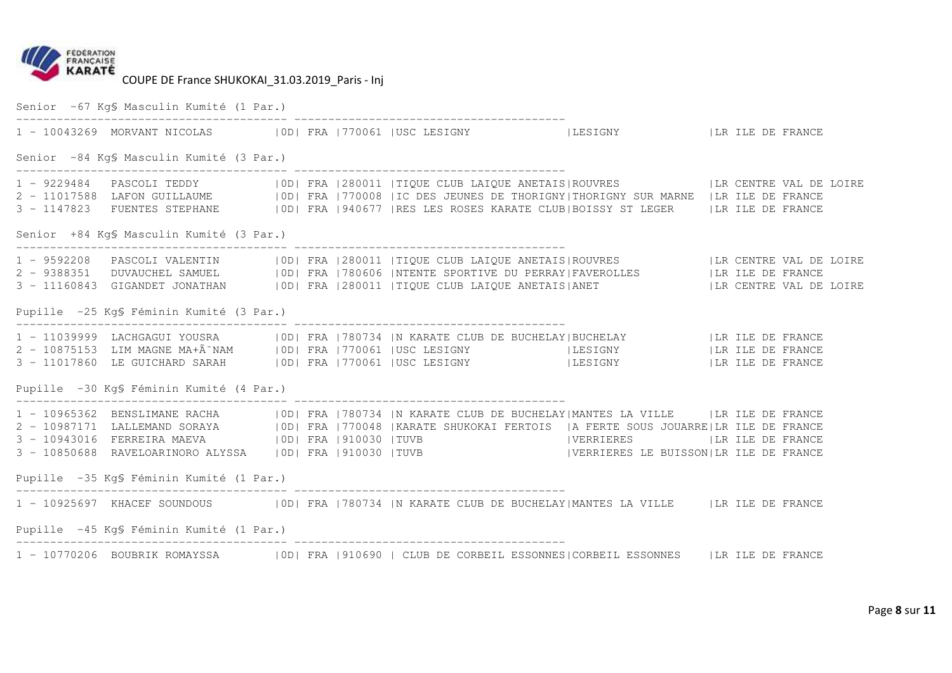

Senior -67 Kg§ Masculin Kumité (1 Par.) ---------------------------------------- ---------------------------------------- ILESIGNY ILR ILE DE FRANCE 1 - 10043269 MORVANT NICOLAS | OD| FRA | 770061 | USC LESIGNY Senior -84 Kg§ Masculin Kumité (3 Par.) ---------------------------------------- ---------------------------------------- 1 - 9229484 PASCOLI TEDDY |OD| FRA |280011 |TIQUE CLUB LAIQUE ANETAIS|ROUVRES |LR CENTRE VAL DE LOIRE<br>2 - 11017588 LAFON GUILLAUME |OD| FRA |770008 |IC DES JEUNES DE THORIGNY|THORIGNY SUR 3 - 1147823 FUENTES STEPHANE |0D| FRA |940677 |RES LES ROSES KARATE CLUB|BOISSY ST LEGER |LR ILE DE FRANCE Senior +84 Kg§ Masculin Kumité (3 Par.) ---------------------------------------- ---------------------------------------- 1 - 9592208 PASCOLI VALENTIN |OD| FRA |280011 |TIQUE CLUB LAIQUE ANETAIS|ROUVRES |LR CENTRE VAL DE LOIRE<br>2 - 9388351 DUVAUCHEL SAMUEL |OD| FRA |780606 |NTENTE SPORTIVE DU PERRAY|FAVEROLLES Pupille -25 Kg§ Féminin Kumité (3 Par.) ---------------------------------------- ---------------------------------------- 1 - 11039999 LACHGAGUI YOUSRA |0D| FRA |780734 |N KARATE CLUB DE BUCHELAY|BUCHELAY |LR ILE DE FRANCE LR ILE DE FRANCE 2 - 10875153 LIM MAGNE MA+Ã<sup>-</sup>NAM | OD| FRA |770061 |USC LESIGNY | |LESIGNY | |LESIGNY 3 - 11017860 LE GUICHARD SARAH |0D| FRA |770061 |USC LESIGNY |LESIGNY |LR ILE DE FRANCE Pupille -30 Kg§ Féminin Kumité (4 Par.) ---------------------------------------- ---------------------------------------- 1 - 10965362 BENSLIMANE RACHA |OD| FRA |780734 |N KARATE CLUB DE BUCHELAY|MANTES LA VILLE |LR ILE DE FRANCE<br>2 - 10987171 LALLEMAND SORAYA |OD| FRA |770048 |KARATE SHUKOKAI FERTOIS |A FERTE SOUS JOUARRE|LR 3 - 10850688 RAVELOARINORO ALYSSA |0D| FRA |910030 |TUVB |VERRIERES LE BUISSON|LR ILE DE FRANCE Pupille -35 Kg§ Féminin Kumité (1 Par.) ---------------------------------------- ---------------------------------------- 1 - 10925697 KHACEF SOUNDOUS | |OD| FRA |780734 |N KARATE CLUB DE BUCHELAY|MANTES LA VILLE | |LR ILE DE FRANCE Pupille -45 Kg§ Féminin Kumité (1 Par.) ---------------------------------------- ---------------------------------------- 1 - 10770206 BOUBRIK ROMAYSSA |0D| FRA |910690 | CLUB DE CORBEIL ESSONNES|CORBEIL ESSONNES |LR ILE DE FRANCE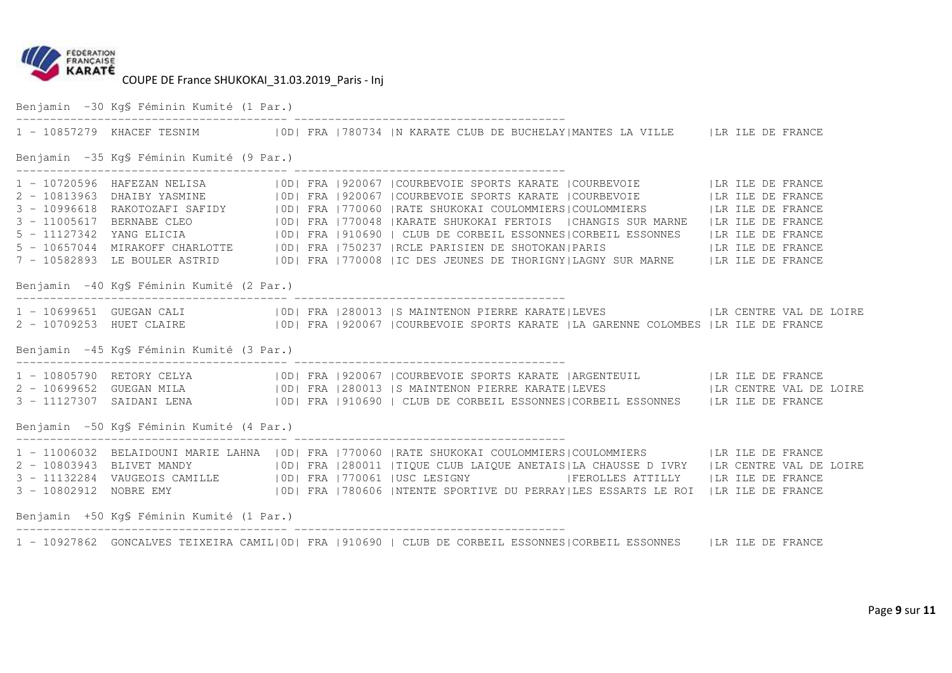

Benjamin -30 Kg§ Féminin Kumité (1 Par.) ---------------------------------------- ---------------------------------------- 1 - 10857279 KHACEF TESNIM |0D| FRA |780734 |N KARATE CLUB DE BUCHELAY|MANTES LA VILLE |LR ILE DE FRANCE Benjamin -35 Kg§ Féminin Kumité (9 Par.) ---------------------------------------- ---------------------------------------- 1 - 10720596 HAFEZAN NELISA |OD| FRA |920067 |COURBEVOIE SPORTS KARATE |COURBEVOIE |LR ILE DE FRANCE 2 - 10813963 DHAIBY YASMINE | |OD| FRA |920067 |COURBEVOIE SPORTS KARATE |COURBEVOIE | |LR ILE DE FRANCE<br>3 - 10996618 RAKOTOZAFI SAFIDY | |OD| FRA |770060 |RATE SHUKOKAI COULOMMIERS|COULOMMIERS | |LR ILE DE FRANCE<br>3 - 1100 7 - 10582893 LE BOULER ASTRID |0D| FRA |770008 |IC DES JEUNES DE THORIGNY|LAGNY SUR MARNE |LR ILE DE FRANCE Benjamin -40 Kg§ Féminin Kumité (2 Par.) ---------------------------------------- ---------------------------------------- 1 - 10699651 GUEGAN CALI |0D| FRA |280013 |S MAINTENON PIERRE KARATE|LEVES |LR CENTRE VAL DE LOIRE<br>2 - 10709253 HUET CLAIRE |0D| FRA |920067 |COURBEVOIE SPORTS KARATE |LA GARENNE C Benjamin -45 Kg§ Féminin Kumité (3 Par.) ---------------------------------------- ---------------------------------------- 1 - 10805790 RETORY CELYA |OD| FRA |920067 |COURBEVOIE SPORTS KARATE |ARGENTEUIL |LR ILE DE FRANCE<br>2 - 10699652 GUEGAN MILA |OD| FRA |280013 |S MAINTENON PIERRE KARATE|LEVES |LR CENTR Benjamin -50 Kg§ Féminin Kumité (4 Par.) ---------------------------------------- ---------------------------------------- 1 - 11006032 BELAIDOUNI MARIE LAHNA |0D| FRA |770060 |RATE SHUKOKAI COULOMMIERS|COULOMMIERS |LR ILE DE FRANCE 2 - 10803943 BLIVET MANDY |0D| FRA |280011 |TIQUE CLUB LAIQUE ANETAIS|LA CHAUSSE D IVRY |LR CENTRE VAL DE LOIRE 3 - 11132284 VAUGEOIS CAMILLE |OD| FRA |770061 |USC LESIGNY |FEROLLES ATTILLY |LR ILE DE FRANCE<br>3 - 10802912 NOBRE EMY |OD| FRA |780606 |NTENTE SPORTIVE DU PERRAY|LES ESSARTS LE ROI | Benjamin +50 Kg§ Féminin Kumité (1 Par.) ---------------------------------------- ---------------------------------------- 1 - 10927862 GONCALVES TEIXEIRA CAMIL|0D| FRA |910690 | CLUB DE CORBEIL ESSONNES|CORBEIL ESSONNES |LR ILE DE FRANCE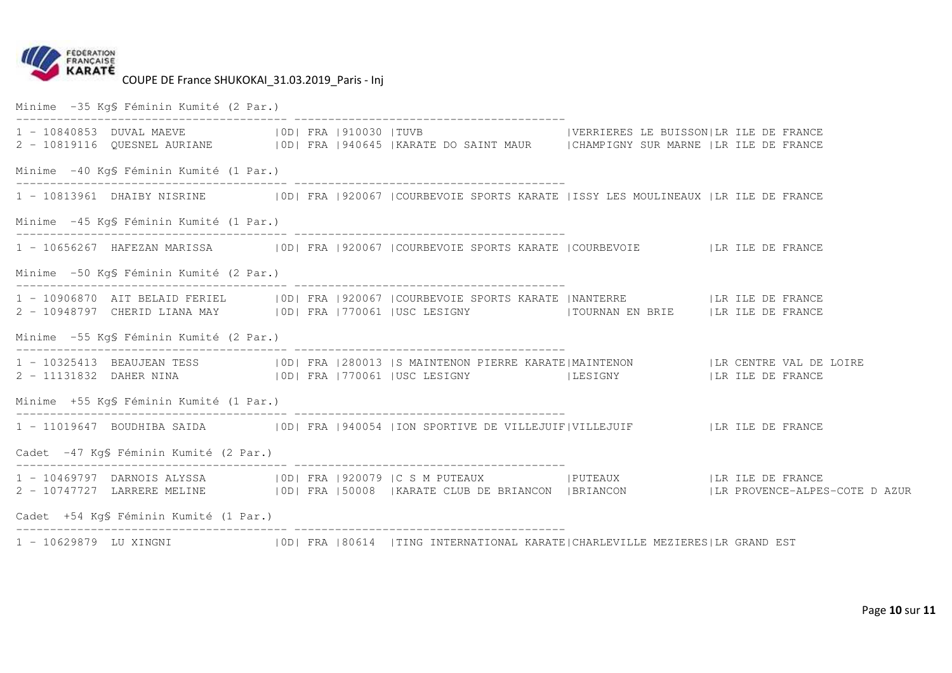

Minime -35 Kg§ Féminin Kumité (2 Par.) ---------------------------------------- ---------------------------------------- IVERRIERES LE BUISSONILR ILE DE FRANCE 1 - 10840853 DUVAL MAEVE | 0D| FRA |910030 |TUVB 2 - 10819116 QUESNEL AURIANE |0D| FRA |940645 |KARATE DO SAINT MAUR |CHAMPIGNY SUR MARNE |LR ILE DE FRANCE Minime -40 Kg§ Féminin Kumité (1 Par.) ---------------------------------------- ---------------------------------------- 1 - 10813961 DHAIBY NISRINE |0D| FRA |920067 |COURBEVOIE SPORTS KARATE |ISSY LES MOULINEAUX |LR ILE DE FRANCE Minime -45 Kg§ Féminin Kumité (1 Par.) ---------------------------------------- ---------------------------------------- 1 - 10656267 HAFEZAN MARISSA |0D| FRA |920067 |COURBEVOIE SPORTS KARATE |COURBEVOIE |LR ILE DE FRANCE Minime -50 Kg§ Féminin Kumité (2 Par.) ---------------------------------------- ---------------------------------------- 1 - 10906870 AIT BELAID FERIEL |OD| FRA |920067 |COURBEVOIE SPORTS KARATE |NANTERRE |LR ILE DE FRANCE<br>2 - 10948797 CHERID LIANA MAY |OD| FRA |770061 |USC LESIGNY |TOURNAN EN BRIE Minime -55 Kg§ Féminin Kumité (2 Par.) ---------------------------------------- ---------------------------------------- 1 - 10325413 BEAUJEAN TESS |OD| FRA |280013 |S MAINTENON PIERRE KARATE|MAINTENON |LR CENTRE VAL DE LOIRE<br>2 - 11131832 DAHER NINA |OD| FRA |770061 |USC LESIGNY |LESIGNY Minime +55 Kg§ Féminin Kumité (1 Par.) ---------------------------------------- ---------------------------------------- 1 - 11019647 BOUDHIBA SAIDA |0D| FRA |940054 |ION SPORTIVE DE VILLEJUIF|VILLEJUIF |LR ILE DE FRANCE Cadet -47 Kg§ Féminin Kumité (2 Par.) ---------------------------------------- ---------------------------------------- 1 - 10469797 DARNOIS ALYSSA |0D| FRA |920079 |C S M PUTEAUX |PUTEAUX |LR ILE DE FRANCE<br>2 - 10747727 LARRERE MELINE |0D| FRA |50008 |KARATE CLUB DE BRIANCON |BRIANCON |LR PROVENCE-A Cadet +54 Kg§ Féminin Kumité (1 Par.) ---------------------------------------- ---------------------------------------- 1 - 10629879 LU XINGNI |0D| FRA |80614 |TING INTERNATIONAL KARATE|CHARLEVILLE MEZIERES|LR GRAND EST